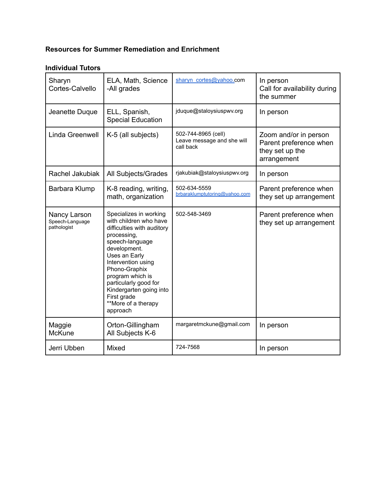# **Resources for Summer Remediation and Enrichment**

# **Individual Tutors**

| Sharyn<br>Cortes-Calvello                      | ELA, Math, Science<br>-All grades                                                                                                                                                                                                                                                                                  | sharyn cortes@yahoo.com                                        | In person<br>Call for availability during<br>the summer                           |
|------------------------------------------------|--------------------------------------------------------------------------------------------------------------------------------------------------------------------------------------------------------------------------------------------------------------------------------------------------------------------|----------------------------------------------------------------|-----------------------------------------------------------------------------------|
| Jeanette Duque                                 | ELL, Spanish,<br><b>Special Education</b>                                                                                                                                                                                                                                                                          | jduque@staloysiuspwv.org                                       | In person                                                                         |
| Linda Greenwell                                | K-5 (all subjects)                                                                                                                                                                                                                                                                                                 | 502-744-8965 (cell)<br>Leave message and she will<br>call back | Zoom and/or in person<br>Parent preference when<br>they set up the<br>arrangement |
| Rachel Jakubiak                                | All Subjects/Grades                                                                                                                                                                                                                                                                                                | rjakubiak@staloysiuspwv.org                                    | In person                                                                         |
| Barbara Klump                                  | K-8 reading, writing,<br>math, organization                                                                                                                                                                                                                                                                        | 502-634-5559<br>brbaraklumptutoring@vahoo.com                  | Parent preference when<br>they set up arrangement                                 |
| Nancy Larson<br>Speech-Language<br>pathologist | Specializes in working<br>with children who have<br>difficulties with auditory<br>processing,<br>speech-language<br>development.<br>Uses an Early<br>Intervention using<br>Phono-Graphix<br>program which is<br>particularly good for<br>Kindergarten going into<br>First grade<br>**More of a therapy<br>approach | 502-548-3469                                                   | Parent preference when<br>they set up arrangement                                 |
| Maggie<br><b>McKune</b>                        | Orton-Gillingham<br>All Subjects K-6                                                                                                                                                                                                                                                                               | margaretmckune@gmail.com                                       | In person                                                                         |
| Jerri Ubben                                    | Mixed                                                                                                                                                                                                                                                                                                              | 724-7568                                                       | In person                                                                         |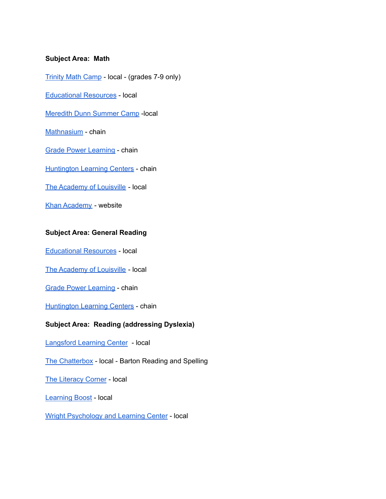### **Subject Area: Math**

[Trinity](https://www.trinityrocks.com/rock-the-summer/survivor-math-camp/) Math Camp - local - (grades 7-9 only)

[Educational](https://www.ertutorlouisville.com/) Resources - local

[Meredith](https://www.meredithdunnschool.org/summer-academic-camp/) Dunn Summer Camp -local

[Mathnasium](https://www.mathnasium.com/) - chain

Grade Power [Learning](https://gradepowerlearning.com/) - chain

[Huntington](https://huntingtonhelps.com/) Learning Centers - chain

The [Academy](https://theacademyoflouisville.com/) of Louisville - local

Khan [Academy](https://www.khanacademy.org/) - website

# **Subject Area: General Reading**

[Educational](https://www.ertutorlouisville.com/) Resources - local

The [Academy](https://theacademyoflouisville.com/) of Louisville - local

Grade Power [Learning](https://gradepowerlearning.com/) - chain

[Huntington](https://huntingtonhelps.com/) Learning Centers - chain

#### **Subject Area: Reading (addressing Dyslexia)**

[Langsford](https://langsfordcenter.com/) Learning Center - local

The [Chatterbox](https://chatterboxky.com/) - local - Barton Reading and Spelling

The [Literacy](http://www.theliteracycorner.com/) Corner - local

[Learning](https://www.learningboost.org/) Boost - local

Wright [Psychology](https://www.wrightchildpsychology.com/) and Learning Center - local